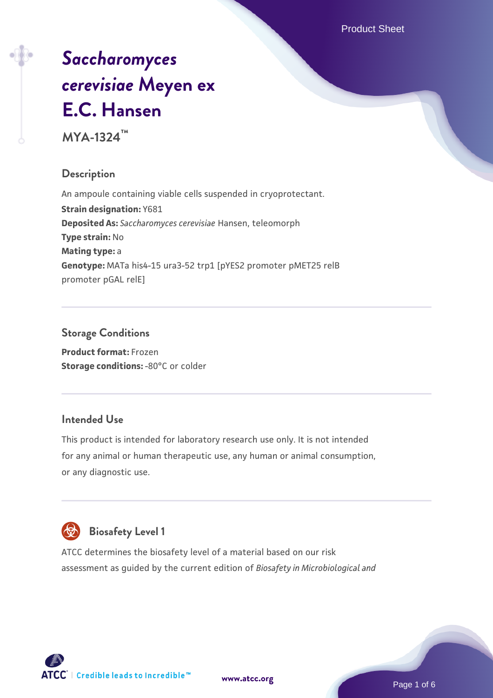Product Sheet

# *[Saccharomyces](https://www.atcc.org/products/mya-1324) [cerevisiae](https://www.atcc.org/products/mya-1324)* **[Meyen ex](https://www.atcc.org/products/mya-1324) [E.C. Hansen](https://www.atcc.org/products/mya-1324)**

**MYA-1324™**

# **Description**

An ampoule containing viable cells suspended in cryoprotectant. **Strain designation:** Y681 **Deposited As:** *Saccharomyces cerevisiae* Hansen, teleomorph **Type strain:** No **Mating type:** a **Genotype:** MATa his4-15 ura3-52 trp1 [pYES2 promoter pMET25 relB promoter pGAL relE]

# **Storage Conditions**

**Product format:** Frozen **Storage conditions: -80°C or colder** 

#### **Intended Use**

This product is intended for laboratory research use only. It is not intended for any animal or human therapeutic use, any human or animal consumption, or any diagnostic use.



# **Biosafety Level 1**

ATCC determines the biosafety level of a material based on our risk assessment as guided by the current edition of *Biosafety in Microbiological and*

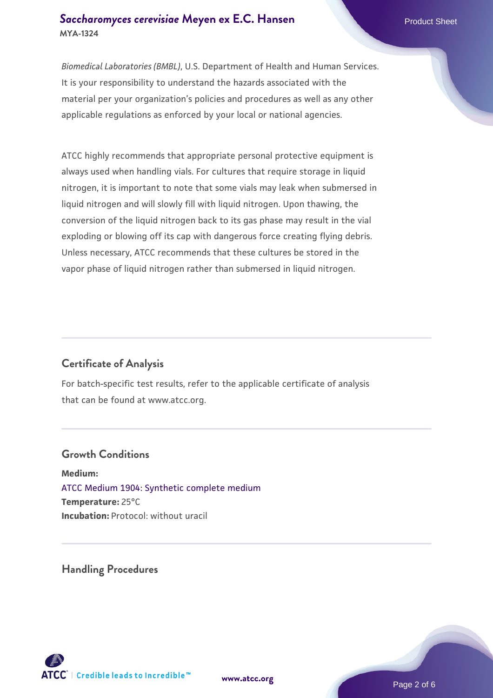# **[Saccharomyces cerevisiae](https://www.atcc.org/products/mya-1324)** [Meyen ex E.C. Hansen](https://www.atcc.org/products/mya-1324) **MYA-1324**

*Biomedical Laboratories (BMBL)*, U.S. Department of Health and Human Services. It is your responsibility to understand the hazards associated with the material per your organization's policies and procedures as well as any other applicable regulations as enforced by your local or national agencies.

ATCC highly recommends that appropriate personal protective equipment is always used when handling vials. For cultures that require storage in liquid nitrogen, it is important to note that some vials may leak when submersed in liquid nitrogen and will slowly fill with liquid nitrogen. Upon thawing, the conversion of the liquid nitrogen back to its gas phase may result in the vial exploding or blowing off its cap with dangerous force creating flying debris. Unless necessary, ATCC recommends that these cultures be stored in the vapor phase of liquid nitrogen rather than submersed in liquid nitrogen.

# **Certificate of Analysis**

For batch-specific test results, refer to the applicable certificate of analysis that can be found at www.atcc.org.

#### **Growth Conditions**

**Medium:**  [ATCC Medium 1904: Synthetic complete medium](https://www.atcc.org/-/media/product-assets/documents/microbial-media-formulations/atcc-medium-1904.pdf?rev=0e0b7f15245044839a89ba7db6e9650a) **Temperature:** 25°C **Incubation:** Protocol: without uracil

**Handling Procedures**



**[www.atcc.org](http://www.atcc.org)**

Page 2 of 6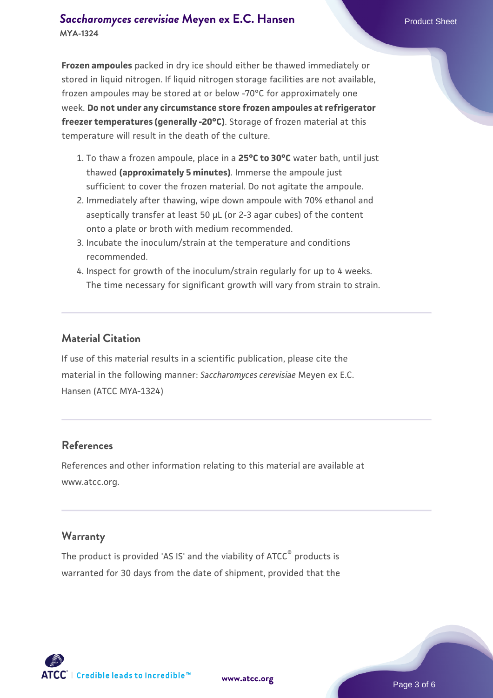# **[Saccharomyces cerevisiae](https://www.atcc.org/products/mya-1324)** [Meyen ex E.C. Hansen](https://www.atcc.org/products/mya-1324) **MYA-1324**

**Frozen ampoules** packed in dry ice should either be thawed immediately or stored in liquid nitrogen. If liquid nitrogen storage facilities are not available, frozen ampoules may be stored at or below -70°C for approximately one week. **Do not under any circumstance store frozen ampoules at refrigerator freezer temperatures (generally -20°C)**. Storage of frozen material at this temperature will result in the death of the culture.

- 1. To thaw a frozen ampoule, place in a **25°C to 30°C** water bath, until just thawed **(approximately 5 minutes)**. Immerse the ampoule just sufficient to cover the frozen material. Do not agitate the ampoule.
- 2. Immediately after thawing, wipe down ampoule with 70% ethanol and aseptically transfer at least 50 µL (or 2-3 agar cubes) of the content onto a plate or broth with medium recommended.
- Incubate the inoculum/strain at the temperature and conditions 3. recommended.
- 4. Inspect for growth of the inoculum/strain regularly for up to 4 weeks. The time necessary for significant growth will vary from strain to strain.

#### **Material Citation**

If use of this material results in a scientific publication, please cite the material in the following manner: *Saccharomyces cerevisiae* Meyen ex E.C. Hansen (ATCC MYA-1324)

#### **References**

References and other information relating to this material are available at www.atcc.org.

#### **Warranty**

The product is provided 'AS IS' and the viability of ATCC® products is warranted for 30 days from the date of shipment, provided that the

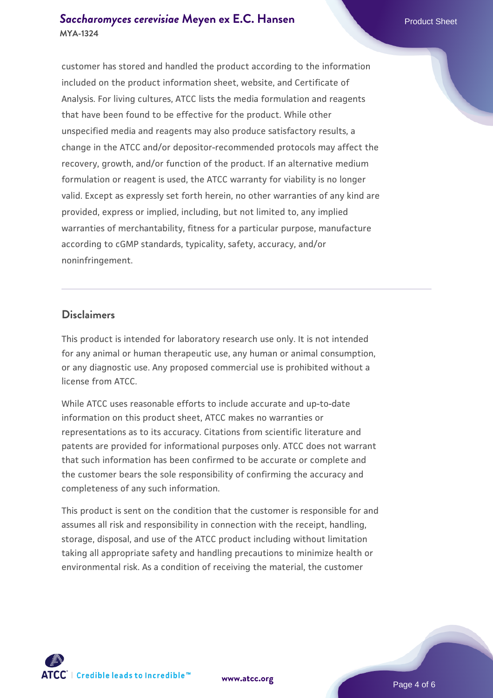# **[Saccharomyces cerevisiae](https://www.atcc.org/products/mya-1324)** [Meyen ex E.C. Hansen](https://www.atcc.org/products/mya-1324) **MYA-1324**

customer has stored and handled the product according to the information included on the product information sheet, website, and Certificate of Analysis. For living cultures, ATCC lists the media formulation and reagents that have been found to be effective for the product. While other unspecified media and reagents may also produce satisfactory results, a change in the ATCC and/or depositor-recommended protocols may affect the recovery, growth, and/or function of the product. If an alternative medium formulation or reagent is used, the ATCC warranty for viability is no longer valid. Except as expressly set forth herein, no other warranties of any kind are provided, express or implied, including, but not limited to, any implied warranties of merchantability, fitness for a particular purpose, manufacture according to cGMP standards, typicality, safety, accuracy, and/or noninfringement.

#### **Disclaimers**

This product is intended for laboratory research use only. It is not intended for any animal or human therapeutic use, any human or animal consumption, or any diagnostic use. Any proposed commercial use is prohibited without a license from ATCC.

While ATCC uses reasonable efforts to include accurate and up-to-date information on this product sheet, ATCC makes no warranties or representations as to its accuracy. Citations from scientific literature and patents are provided for informational purposes only. ATCC does not warrant that such information has been confirmed to be accurate or complete and the customer bears the sole responsibility of confirming the accuracy and completeness of any such information.

This product is sent on the condition that the customer is responsible for and assumes all risk and responsibility in connection with the receipt, handling, storage, disposal, and use of the ATCC product including without limitation taking all appropriate safety and handling precautions to minimize health or environmental risk. As a condition of receiving the material, the customer



**[www.atcc.org](http://www.atcc.org)**

Page 4 of 6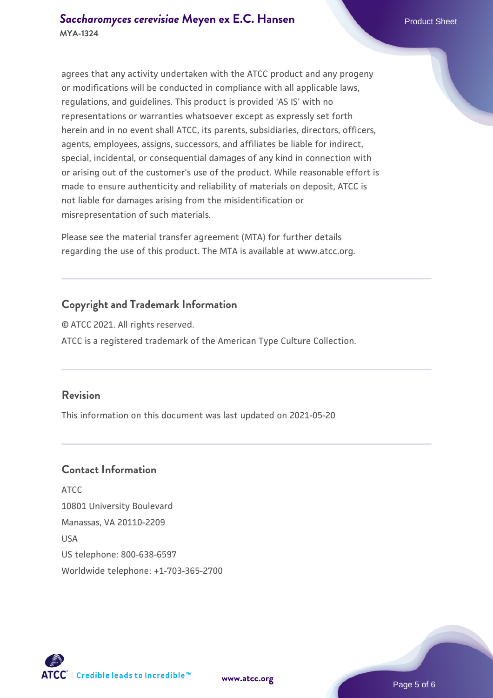agrees that any activity undertaken with the ATCC product and any progeny or modifications will be conducted in compliance with all applicable laws, regulations, and guidelines. This product is provided 'AS IS' with no representations or warranties whatsoever except as expressly set forth herein and in no event shall ATCC, its parents, subsidiaries, directors, officers, agents, employees, assigns, successors, and affiliates be liable for indirect, special, incidental, or consequential damages of any kind in connection with or arising out of the customer's use of the product. While reasonable effort is made to ensure authenticity and reliability of materials on deposit, ATCC is not liable for damages arising from the misidentification or misrepresentation of such materials.

Please see the material transfer agreement (MTA) for further details regarding the use of this product. The MTA is available at www.atcc.org.

# **Copyright and Trademark Information**

© ATCC 2021. All rights reserved. ATCC is a registered trademark of the American Type Culture Collection.

### **Revision**

This information on this document was last updated on 2021-05-20

# **Contact Information**

ATCC 10801 University Boulevard Manassas, VA 20110-2209 USA US telephone: 800-638-6597 Worldwide telephone: +1-703-365-2700